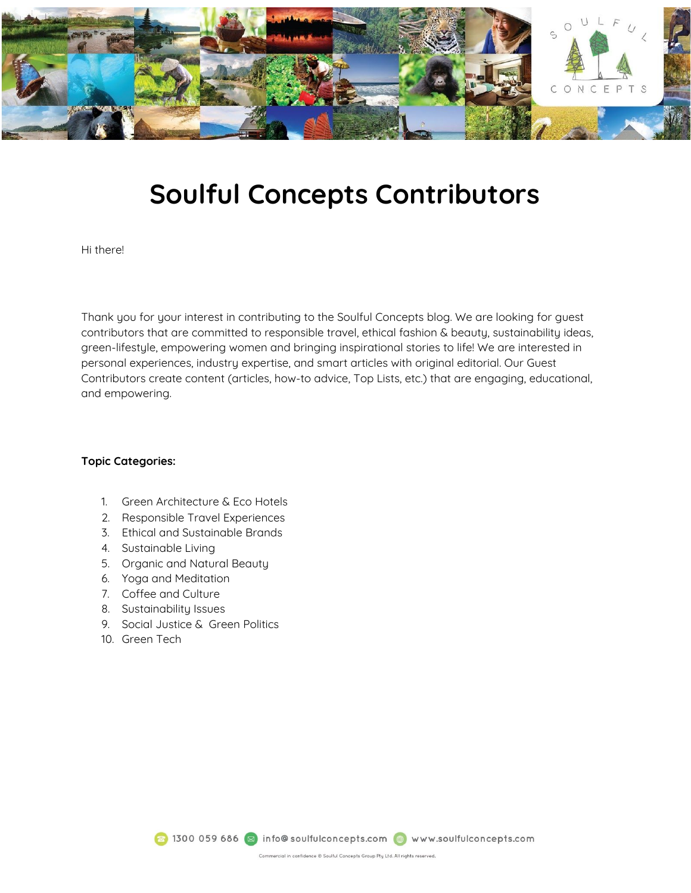

## **Soulful Concepts Contributors**

Hi there!

Thank you for your interest in contributing to the Soulful Concepts blog. We are looking for guest contributors that are committed to responsible travel, ethical fashion & beauty, sustainability ideas, green-lifestyle, empowering women and bringing inspirational stories to life! We are interested in personal experiences, industry expertise, and smart articles with original editorial. Our Guest Contributors create content (articles, how-to advice, Top Lists, etc.) that are engaging, educational, and empowering.

## **Topic Categories:**

- 1. Green Architecture & Eco Hotels
- 2. Responsible Travel Experiences
- 3. Ethical and Sustainable Brands
- 4. Sustainable Living
- 5. Organic and Natural Beauty
- 6. Yoga and Meditation
- 7. Coffee and Culture
- 8. Sustainability Issues
- 9. Social Justice & Green Politics
- 10. Green Tech

8 1300 059 686 3 info@soulfulconcepts.com @ www.soulfulconcepts.com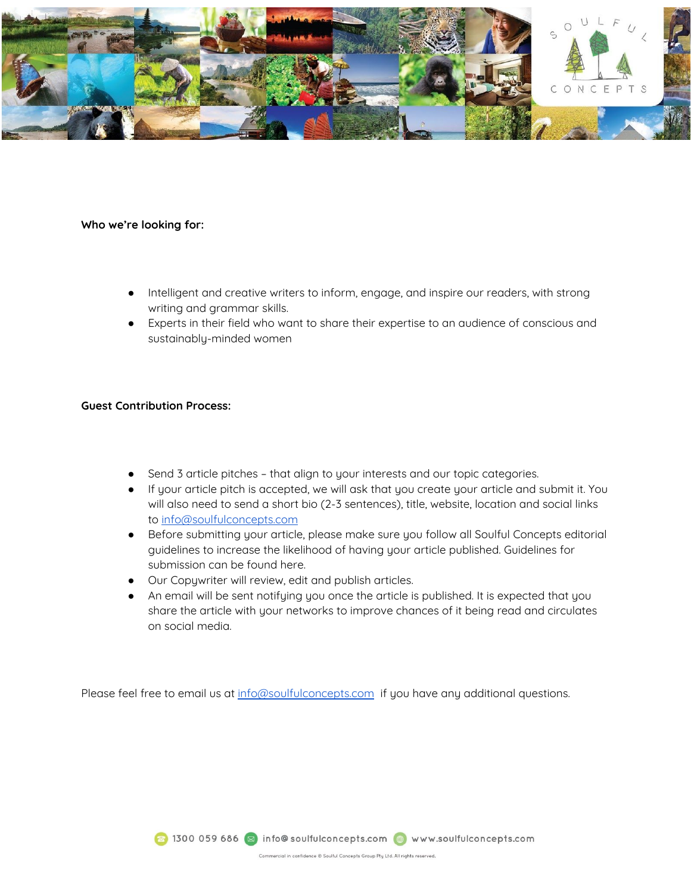

## **Who we're looking for:**

- Intelligent and creative writers to inform, engage, and inspire our readers, with strong writing and grammar skills.
- Experts in their field who want to share their expertise to an audience of conscious and sustainably-minded women

## **Guest Contribution Process:**

- Send 3 article pitches that align to your interests and our topic categories.
- If your article pitch is accepted, we will ask that you create your article and submit it. You will also need to send a short bio (2-3 sentences), title, website, location and social links to [info@soulfulconcepts.com](mailto:info@soulfulconcepts.com)
- Before submitting your article, please make sure you follow all Soulful Concepts editorial guidelines to increase the likelihood of having your article published. Guidelines for submission can be found here.
- Our Copywriter will review, edit and publish articles.
- An email will be sent notifying you once the article is published. It is expected that you share the article with your networks to improve chances of it being read and circulates on social media.

Please feel free to email us at [info@soulfulconcepts.com](mailto:info@soulfulconcepts.com) if you have any additional questions.